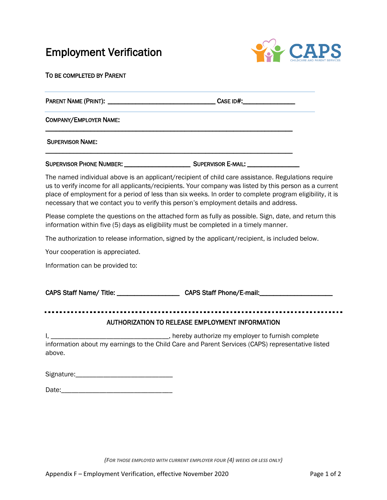## Employment Verification



TO BE COMPLETED BY PARENT

PARENT NAME (PRINT): \_\_\_\_\_\_\_\_\_\_\_\_\_\_\_\_\_\_\_\_\_\_\_\_\_\_\_\_\_\_\_ CASE ID#:\_\_\_\_\_\_\_\_\_\_\_\_\_\_\_

\_\_\_\_\_\_\_\_\_\_\_\_\_\_\_\_\_\_\_\_\_\_\_\_\_\_\_\_\_\_\_\_\_\_\_\_\_\_\_\_\_\_\_\_\_\_\_\_\_\_\_\_\_\_\_\_\_\_\_\_\_\_\_\_\_\_\_\_\_\_\_

\_\_\_\_\_\_\_\_\_\_\_\_\_\_\_\_\_\_\_\_\_\_\_\_\_\_\_\_\_\_\_\_\_\_\_\_\_\_\_\_\_\_\_\_\_\_\_\_\_\_\_\_\_\_\_\_\_\_\_\_\_\_\_\_\_\_\_\_\_\_\_

COMPANY/EMPLOYER NAME:

SUPERVISOR NAME:

SUPERVISOR PHONE NUMBER: \_\_\_\_\_\_\_\_\_\_\_\_\_\_\_\_\_\_\_\_\_\_\_\_\_\_\_\_\_\_\_\_\_\_SUPERVISOR E-MAIL: \_\_\_

The named individual above is an applicant/recipient of child care assistance. Regulations require us to verify income for all applicants/recipients. Your company was listed by this person as a current place of employment for a period of less than six weeks. In order to complete program eligibility, it is necessary that we contact you to verify this person's employment details and address.

Please complete the questions on the attached form as fully as possible. Sign, date, and return this information within five (5) days as eligibility must be completed in a timely manner.

The authorization to release information, signed by the applicant/recipient, is included below.

Your cooperation is appreciated.

Information can be provided to:

CAPS Staff Name/ Title: \_\_\_\_\_\_\_\_\_\_\_\_\_\_\_\_\_\_\_\_\_\_\_CAPS Staff Phone/E-mail: \_\_\_\_\_\_\_\_

## AUTHORIZATION TO RELEASE EMPLOYMENT INFORMATION

I, \_\_\_\_\_\_\_\_\_\_\_\_\_\_\_\_\_\_\_\_\_\_\_\_\_\_\_\_\_\_\_\_\_\_\_, hereby authorize my employer to furnish complete information about my earnings to the Child Care and Parent Services (CAPS) representative listed above.

| Signature: |
|------------|
|------------|

| Date: |
|-------|
|-------|

*(FOR THOSE EMPLOYED WITH CURRENT EMPLOYER FOUR (4) WEEKS OR LESS ONLY)*